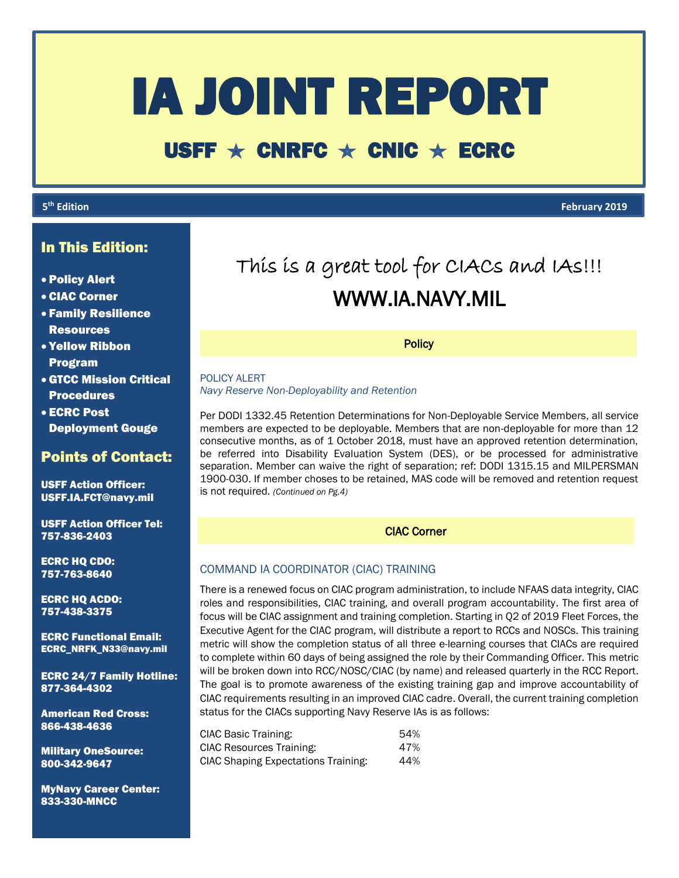# IA JOINT REPORT

## USFF  $\star$  CNRFC  $\star$  CNIC  $\star$  ECRC

## **5**

֚֚֚֚֬֡֡֡֡֡

**th Edition February 2019**

## In This Edition:

- Policy Alert
- CIAC Corner
- Family Resilience Resources
- Yellow Ribbon Program
- GTCC Mission Critical Procedures
- ECRC Post Deployment Gouge

## Points of Contact:

USFF Action Officer: USFF.IA.FCT@navy.mil

USFF Action Officer Tel: 757-836-2403

ECRC HQ CDO: 757-763-8640

ECRC HQ ACDO: 757-438-3375

ECRC Functional Email: ECRC\_NRFK\_N33@navy.mil

ECRC 24/7 Family Hotline: 877-364-4302

American Red Cross: 866-438-4636

Military OneSource: 800-342-9647

MyNavy Career Center: 833-330-MNCC

# This is a great tool for CIACs and IAs!!! WWW.IA.NAVY.MIL

**Policy** 

POLICY ALERT *Navy Reserve Non-Deployability and Retention*

Per DODI 1332.45 Retention Determinations for Non-Deployable Service Members, all service members are expected to be deployable. Members that are non-deployable for more than 12 consecutive months, as of 1 October 2018, must have an approved retention determination, be referred into Disability Evaluation System (DES), or be processed for administrative separation. Member can waive the right of separation; ref: DODI 1315.15 and MILPERSMAN 1900-030. If member choses to be retained, MAS code will be removed and retention request is not required. *(Continued on Pg.4)*

## CIAC Corner

## COMMAND IA COORDINATOR (CIAC) TRAINING

There is a renewed focus on CIAC program administration, to include NFAAS data integrity, CIAC roles and responsibilities, CIAC training, and overall program accountability. The first area of focus will be CIAC assignment and training completion. Starting in Q2 of 2019 Fleet Forces, the Executive Agent for the CIAC program, will distribute a report to RCCs and NOSCs. This training metric will show the completion status of all three e-learning courses that CIACs are required to complete within 60 days of being assigned the role by their Commanding Officer. This metric will be broken down into RCC/NOSC/CIAC (by name) and released quarterly in the RCC Report. The goal is to promote awareness of the existing training gap and improve accountability of CIAC requirements resulting in an improved CIAC cadre. Overall, the current training completion status for the CIACs supporting Navy Reserve IAs is as follows:

| CIAC Basic Training:                       | 54% |
|--------------------------------------------|-----|
| <b>CIAC Resources Training:</b>            | 47% |
| <b>CIAC Shaping Expectations Training:</b> | 44% |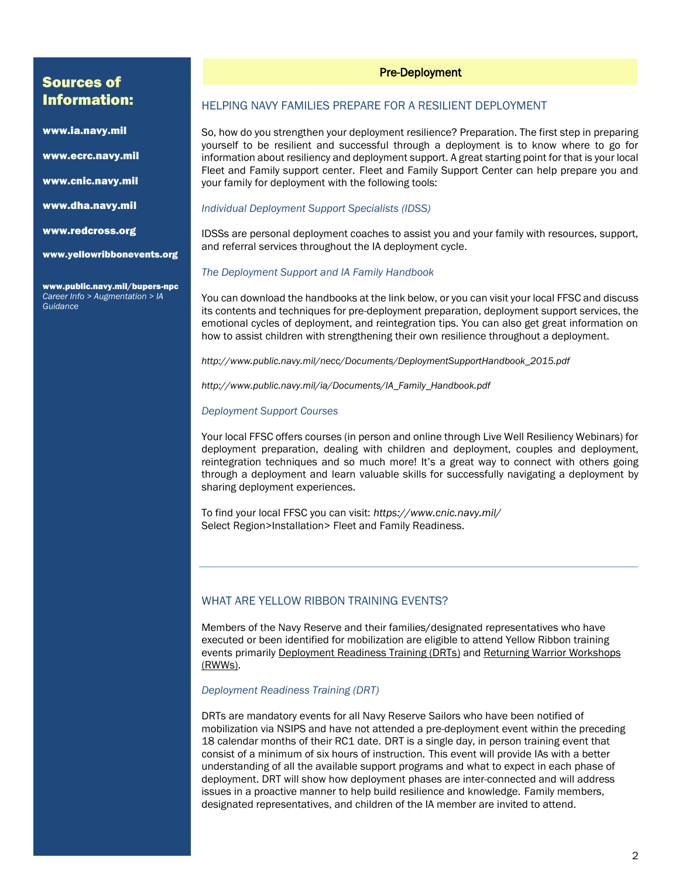## Sources of Information:

www.ia.navy.mil

www.ecrc.navy.mil

www.cnic.navy.mil

www.dha.navy.mil

www.redcross.org

www.yellowribbonevents.org

www.public.navy.mil/bupers-npc *Career Info > Augmentation > IA Guidance*

## Pre-Deployment

## HELPING NAVY FAMILIES PREPARE FOR A RESILIENT DEPLOYMENT

So, how do you strengthen your deployment resilience? Preparation. The first step in preparing yourself to be resilient and successful through a deployment is to know where to go for information about resiliency and deployment support. A great starting point for that is your local Fleet and Family support center. Fleet and Family Support Center can help prepare you and your family for deployment with the following tools:

## *Individual Deployment Support Specialists (IDSS)*

IDSSs are personal deployment coaches to assist you and your family with resources, support, and referral services throughout the IA deployment cycle.

#### *The Deployment Support and IA Family Handbook*

You can download the handbooks at the link below, or you can visit your local FFSC and discuss its contents and techniques for pre-deployment preparation, deployment support services, the emotional cycles of deployment, and reintegration tips. You can also get great information on how to assist children with strengthening their own resilience throughout a deployment.

*http://www.public.navy.mil/necc/Documents/DeploymentSupportHandbook\_2015.pdf* 

*http://www.public.navy.mil/ia/Documents/IA\_Family\_Handbook.pdf* 

#### *Deployment Support Courses*

Your local FFSC offers courses (in person and online through Live Well Resiliency Webinars) for deployment preparation, dealing with children and deployment, couples and deployment, reintegration techniques and so much more! It's a great way to connect with others going through a deployment and learn valuable skills for successfully navigating a deployment by sharing deployment experiences.

To find your local FFSC you can visit: *https://www.cnic.navy.mil/* Select Region>Installation> Fleet and Family Readiness.

## WHAT ARE YELLOW RIBBON TRAINING EVENTS?

Members of the Navy Reserve and their families/designated representatives who have executed or been identified for mobilization are eligible to attend Yellow Ribbon training events primarily Deployment Readiness Training (DRTs) and Returning Warrior Workshops (RWWs).

#### *Deployment Readiness Training (DRT)*

DRTs are mandatory events for all Navy Reserve Sailors who have been notified of mobilization via NSIPS and have not attended a pre-deployment event within the preceding 18 calendar months of their RC1 date. DRT is a single day, in person training event that consist of a minimum of six hours of instruction. This event will provide IAs with a better understanding of all the available support programs and what to expect in each phase of deployment. DRT will show how deployment phases are inter-connected and will address issues in a proactive manner to help build resilience and knowledge. Family members, designated representatives, and children of the IA member are invited to attend.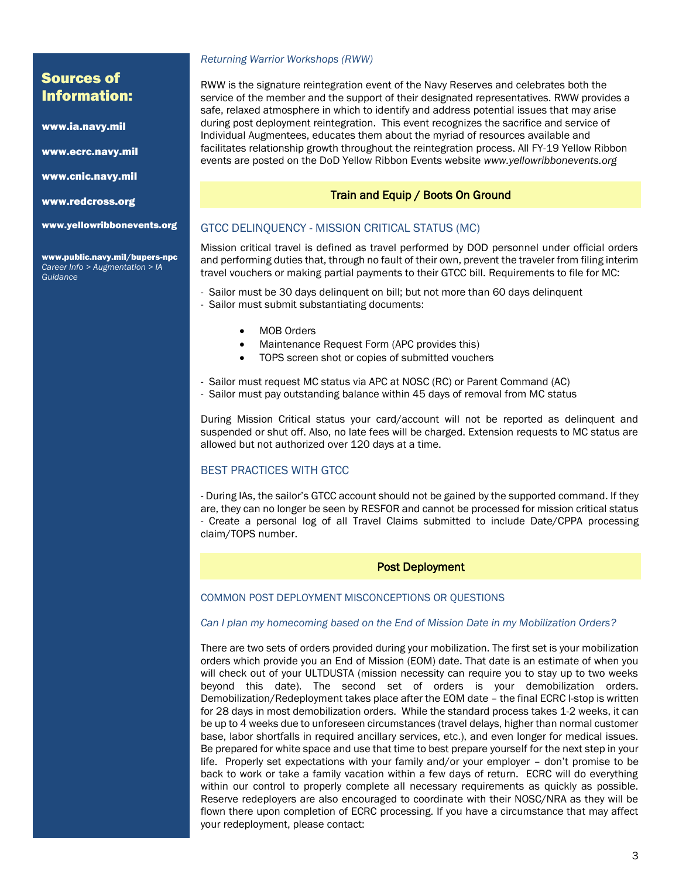## Sources of Information:

www.ia.navy.mil

www.ecrc.navy.mil

www.cnic.navy.mil

www.redcross.org

www.yellowribbonevents.org

www.public.navy.mil/bupers-npc *Career Info > Augmentation > IA Guidance*

#### *Returning Warrior Workshops (RWW)*

RWW is the signature reintegration event of the Navy Reserves and celebrates both the service of the member and the support of their designated representatives. RWW provides a safe, relaxed atmosphere in which to identify and address potential issues that may arise during post deployment reintegration. This event recognizes the sacrifice and service of Individual Augmentees, educates them about the myriad of resources available and facilitates relationship growth throughout the reintegration process. All FY-19 Yellow Ribbon events are posted on the DoD Yellow Ribbon Events website *www.yellowribbonevents.org* 

## Train and Equip / Boots On Ground

## GTCC DELINQUENCY - MISSION CRITICAL STATUS (MC)

Mission critical travel is defined as travel performed by DOD personnel under official orders and performing duties that, through no fault of their own, prevent the traveler from filing interim travel vouchers or making partial payments to their GTCC bill. Requirements to file for MC:

- Sailor must be 30 days delinquent on bill; but not more than 60 days delinquent
- Sailor must submit substantiating documents:
	- MOB Orders
	- Maintenance Request Form (APC provides this)
	- TOPS screen shot or copies of submitted vouchers
- Sailor must request MC status via APC at NOSC (RC) or Parent Command (AC)
- Sailor must pay outstanding balance within 45 days of removal from MC status

During Mission Critical status your card/account will not be reported as delinquent and suspended or shut off. Also, no late fees will be charged. Extension requests to MC status are allowed but not authorized over 120 days at a time.

## BEST PRACTICES WITH GTCC

- During IAs, the sailor's GTCC account should not be gained by the supported command. If they are, they can no longer be seen by RESFOR and cannot be processed for mission critical status - Create a personal log of all Travel Claims submitted to include Date/CPPA processing claim/TOPS number.

## Post Deployment

## COMMON POST DEPLOYMENT MISCONCEPTIONS OR QUESTIONS

## *Can I plan my homecoming based on the End of Mission Date in my Mobilization Orders?*

There are two sets of orders provided during your mobilization. The first set is your mobilization orders which provide you an End of Mission (EOM) date. That date is an estimate of when you will check out of your ULTDUSTA (mission necessity can require you to stay up to two weeks beyond this date). The second set of orders is your demobilization orders. Demobilization/Redeployment takes place after the EOM date – the final ECRC I-stop is written for 28 days in most demobilization orders. While the standard process takes 1-2 weeks, it can be up to 4 weeks due to unforeseen circumstances (travel delays, higher than normal customer base, labor shortfalls in required ancillary services, etc.), and even longer for medical issues. Be prepared for white space and use that time to best prepare yourself for the next step in your life. Properly set expectations with your family and/or your employer – don't promise to be back to work or take a family vacation within a few days of return. ECRC will do everything within our control to properly complete all necessary requirements as quickly as possible. Reserve redeployers are also encouraged to coordinate with their NOSC/NRA as they will be flown there upon completion of ECRC processing. If you have a circumstance that may affect your redeployment, please contact: